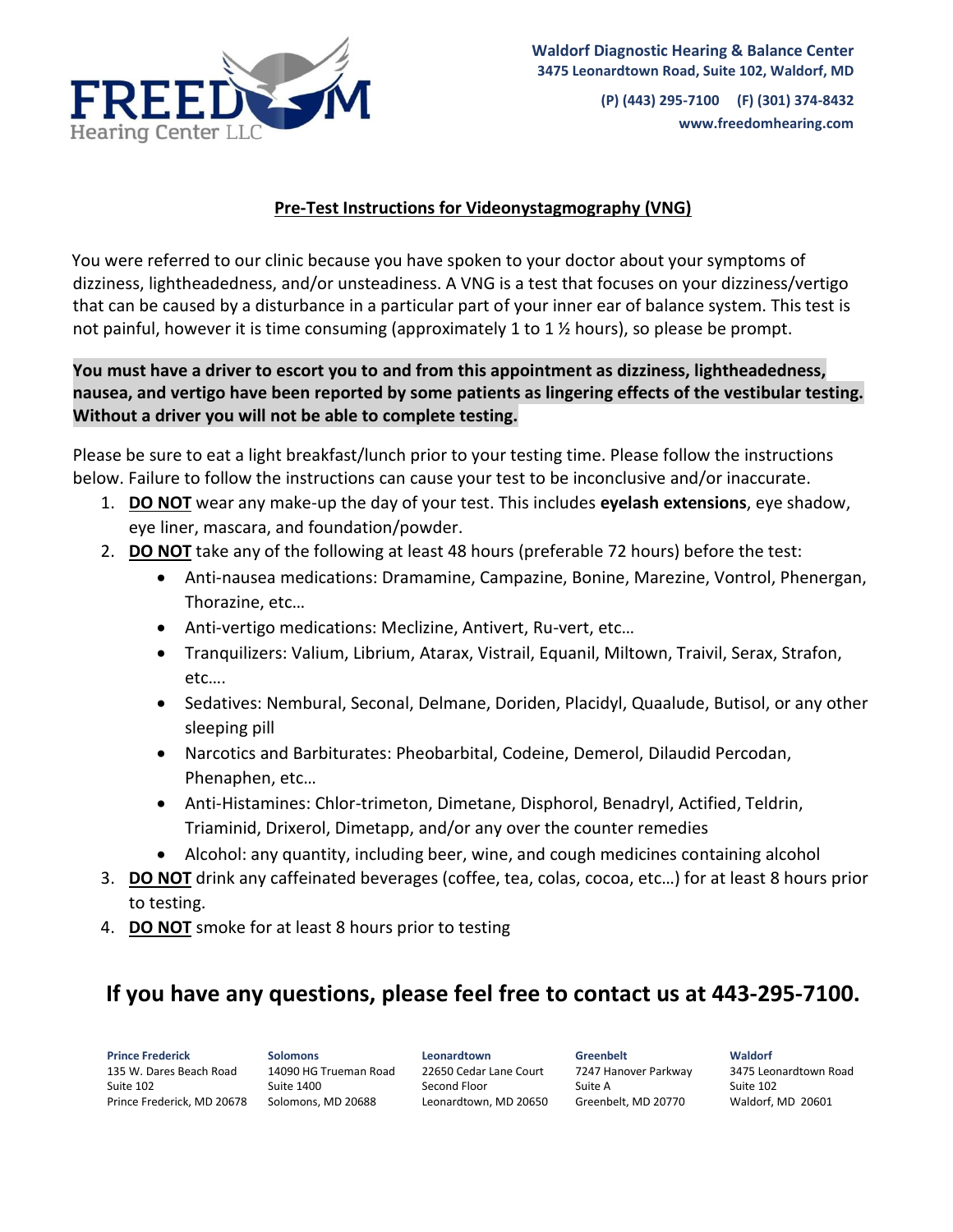

**(P) (443) 295-7100 (F) (301) 374-8432 www.freedomhearing.com** 

## **Pre-Test Instructions for Videonystagmography (VNG)**

You were referred to our clinic because you have spoken to your doctor about your symptoms of dizziness, lightheadedness, and/or unsteadiness. A VNG is a test that focuses on your dizziness/vertigo that can be caused by a disturbance in a particular part of your inner ear of balance system. This test is not painful, however it is time consuming (approximately 1 to 1  $\frac{1}{2}$  hours), so please be prompt.

## **You must have a driver to escort you to and from this appointment as dizziness, lightheadedness, nausea, and vertigo have been reported by some patients as lingering effects of the vestibular testing. Without a driver you will not be able to complete testing.**

Please be sure to eat a light breakfast/lunch prior to your testing time. Please follow the instructions below. Failure to follow the instructions can cause your test to be inconclusive and/or inaccurate.

- 1. **DO NOT** wear any make-up the day of your test. This includes **eyelash extensions**, eye shadow, eye liner, mascara, and foundation/powder.
- 2. **DO NOT** take any of the following at least 48 hours (preferable 72 hours) before the test:
	- Anti-nausea medications: Dramamine, Campazine, Bonine, Marezine, Vontrol, Phenergan, Thorazine, etc…
	- Anti-vertigo medications: Meclizine, Antivert, Ru-vert, etc…
	- Tranquilizers: Valium, Librium, Atarax, Vistrail, Equanil, Miltown, Traivil, Serax, Strafon, etc….
	- Sedatives: Nembural, Seconal, Delmane, Doriden, Placidyl, Quaalude, Butisol, or any other sleeping pill
	- Narcotics and Barbiturates: Pheobarbital, Codeine, Demerol, Dilaudid Percodan, Phenaphen, etc…
	- Anti-Histamines: Chlor-trimeton, Dimetane, Disphorol, Benadryl, Actified, Teldrin, Triaminid, Drixerol, Dimetapp, and/or any over the counter remedies
	- Alcohol: any quantity, including beer, wine, and cough medicines containing alcohol
- 3. **DO NOT** drink any caffeinated beverages (coffee, tea, colas, cocoa, etc…) for at least 8 hours prior to testing.
- 4. **DO NOT** smoke for at least 8 hours prior to testing

## **If you have any questions, please feel free to contact us at 443-295-7100.**

**Prince Frederick** 135 W. Dares Beach Road Suite 102 Prince Frederick, MD 20678 Solomons, MD 20688

**Solomons** 14090 HG Trueman Road Suite 1400

**Leonardtown** 22650 Cedar Lane Court Second Floor Leonardtown, MD 20650

**Greenbelt** 7247 Hanover Parkway Suite A Greenbelt, MD 20770

**Waldorf** 3475 Leonardtown Road Suite 102 Waldorf, MD 20601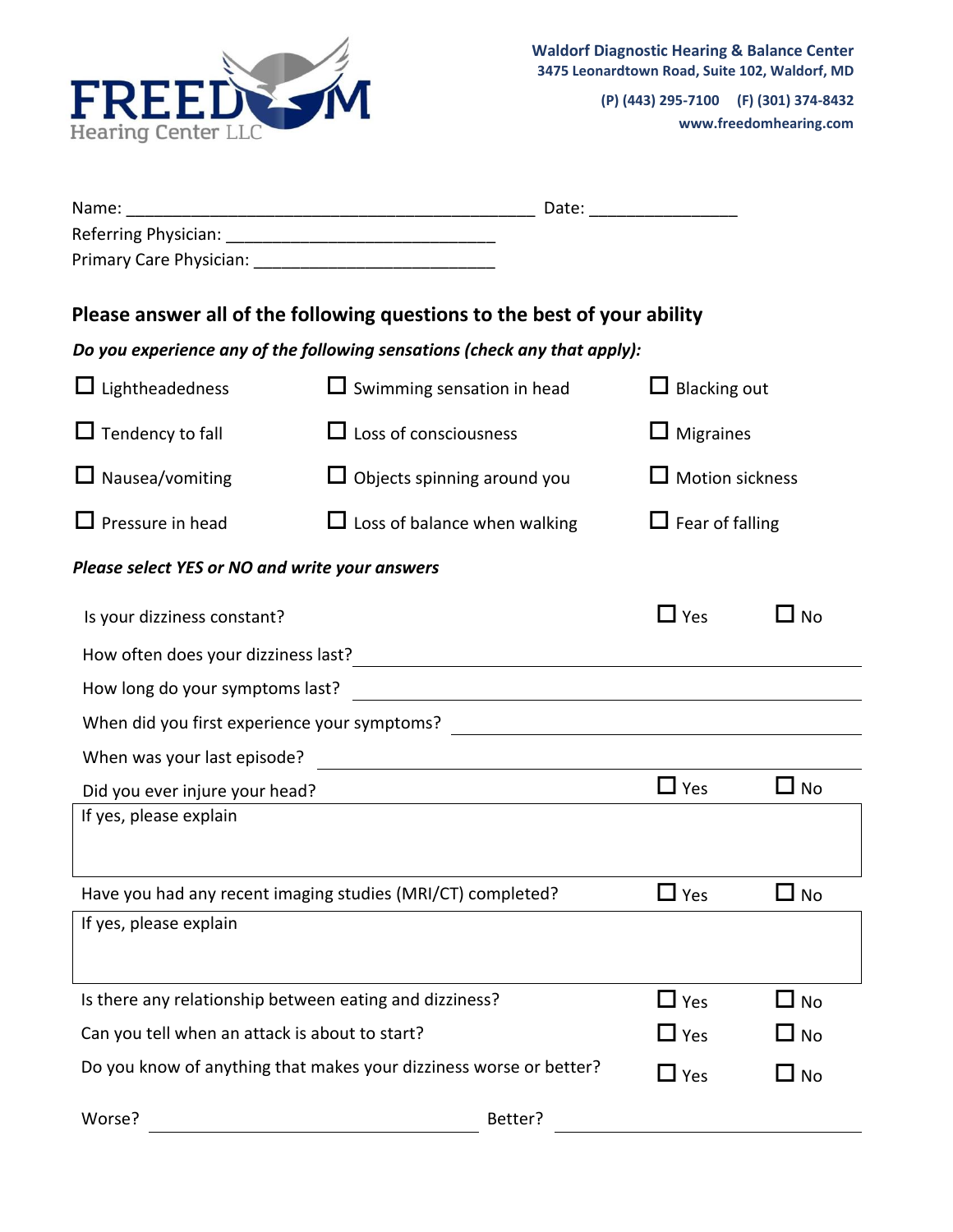

**(P) (443) 295-7100 (F) (301) 374-8432 www.freedomhearing.com** 

|                                                             | Please answer all of the following questions to the best of your ability                                                                                                                                                               |                        |             |
|-------------------------------------------------------------|----------------------------------------------------------------------------------------------------------------------------------------------------------------------------------------------------------------------------------------|------------------------|-------------|
|                                                             | Do you experience any of the following sensations (check any that apply):                                                                                                                                                              |                        |             |
| $\Box$ Lightheadedness                                      | $\Box$ Swimming sensation in head                                                                                                                                                                                                      | $\Box$ Blacking out    |             |
| $\Box$ Tendency to fall                                     | $\Box$ Loss of consciousness                                                                                                                                                                                                           | $\Box$ Migraines       |             |
| $\Box$ Nausea/vomiting                                      | $\Box$ Objects spinning around you                                                                                                                                                                                                     | $\Box$ Motion sickness |             |
| $\Box$ Pressure in head                                     | $\Box$ Loss of balance when walking                                                                                                                                                                                                    | $\Box$ Fear of falling |             |
| Please select YES or NO and write your answers              |                                                                                                                                                                                                                                        |                        |             |
| Is your dizziness constant?                                 |                                                                                                                                                                                                                                        | $\Box$ Yes             | $\sqcup$ No |
|                                                             | How often does your dizziness last?<br><u> and the contract of the contract of the contract of the contract of the contract of the contract of the contract of the contract of the contract of the contract of the contract of the</u> |                        |             |
|                                                             |                                                                                                                                                                                                                                        |                        |             |
|                                                             | When did you first experience your symptoms? ___________________________________                                                                                                                                                       |                        |             |
| When was your last episode?                                 |                                                                                                                                                                                                                                        |                        |             |
| Did you ever injure your head?                              |                                                                                                                                                                                                                                        | $\Box$ Yes             | $\Box$ No   |
| If yes, please explain                                      |                                                                                                                                                                                                                                        |                        |             |
| Have you had any recent imaging studies (MRI/CT) completed? |                                                                                                                                                                                                                                        | $\Box$ Yes             | $\Box$ No   |
| If yes, please explain                                      |                                                                                                                                                                                                                                        |                        |             |
| Is there any relationship between eating and dizziness?     |                                                                                                                                                                                                                                        | $\Box$ Yes             | $\Box$ No   |
| Can you tell when an attack is about to start?              |                                                                                                                                                                                                                                        | $\Box$ Yes             | $\Box$ No   |
|                                                             | Do you know of anything that makes your dizziness worse or better?                                                                                                                                                                     | $\Box$ Yes             | $\Box$ No   |
| Worse?                                                      | Better?                                                                                                                                                                                                                                |                        |             |